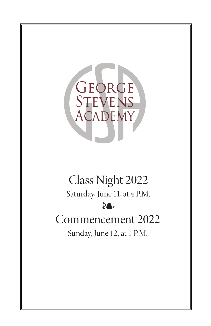

# Class Night 2022

Saturday, June 11, at 4 P.M.

# ❧

# Commencement 2022

Sunday, June 12, at 1 P.M.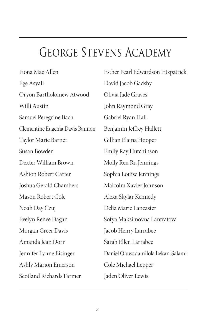# George Stevens Academy

Fiona Mae Allen Ege Asyali Oryon Bartholomew Atwood Willi Austin Samuel Peregrine Bach Clementine Eugenia Davis Bannon Taylor Marie Barnet Susan Bowden Dexter William Brown Ashton Robert Carter Joshua Gerald Chambers Mason Robert Cole Noah Day Czuj Evelyn Renee Dagan Morgan Greer Davis Amanda Jean Dorr Jennifer Lynne Eisinger Ashly Marion Emerson Scotland Richards Farmer

Esther Pearl Edwardson Fitzpatrick David Jacob Gadsby Olivia Jade Graves John Raymond Gray Gabriel Ryan Hall Benjamin Jeffrey Hallett Gillian Elaina Hooper Emily Ray Hutchinson Molly Ren Ru Jennings Sophia Louise Jennings Malcolm Xavier Johnson Alexa Skylar Kennedy Delia Marie Lancaster Sofya Maksimovna Lantratova Jacob Henry Larrabee Sarah Ellen Larrabee Daniel Oluwadamilola Lekan-Salami Cole Michael Lepper Jaden Oliver Lewis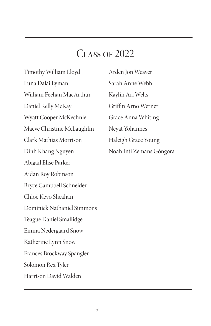# CLASS OF 2022

Timothy William Lloyd Luna Dalai Lyman William Feehan MacArthur Daniel Kelly McKay Wyatt Cooper McKechnie Maeve Christine McLaughlin Clark Mathias Morrison Dinh Khang Nguyen Abigail Elise Parker Aidan Roy Robinson Bryce Campbell Schneider Chloë Keyo Sheahan Dominick Nathaniel Simmons Teague Daniel Smallidge Emma Nedergaard Snow Katherine Lynn Snow Frances Brockway Spangler Solomon Rex Tyler Harrison David Walden

Arden Jon Weaver Sarah Anne Webb Kaylin Ari Welts Griffin Arno Werner Grace Anna Whiting Neyat Yohannes Haleigh Grace Young Noah Inti Zemans Góngora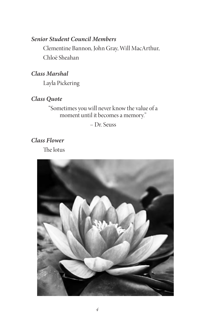# *Senior Student Council Members*

Clementine Bannon, John Gray, Will MacArthur, Chloë Sheahan

*Class Marshal*

Layla Pickering

# *Class Quote*

"Sometimes you will never know the value of a moment until it becomes a memory."

– Dr. Seuss

*Class Flower* The lotus

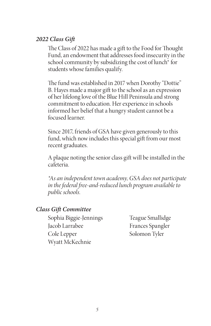### *2022 Class Gift*

The Class of 2022 has made a gift to the Food for Thought Fund, an endowment that addresses food insecurity in the school community by subsidizing the cost of lunch\* for students whose families qualify.

The fund was established in 2017 when Dorothy "Dottie" B. Hayes made a major gift to the school as an expression of her lifelong love of the Blue Hill Peninsula and strong commitment to education. Her experience in schools informed her belief that a hungry student cannot be a focused learner.

Since 2017, friends of GSA have given generously to this fund, which now includes this special gift from our most recent graduates.

A plaque noting the senior class gift will be installed in the cafeteria.

*\*As an independent town academy, GSA does not participate in the federal free-and-reduced lunch program available to public schools.* 

### *Class Gift Committee*

Sophia Biggie-Jennings Jacob Larrabee Cole Lepper Wyatt McKechnie

Teague Smallidge Frances Spangler Solomon Tyler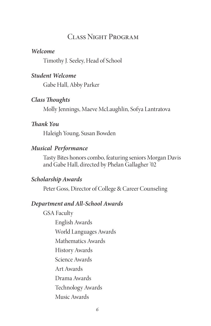# Class Night Program

#### *Welcome*

Timothy J. Seeley, Head of School

#### *Student Welcome*

Gabe Hall, Abby Parker

#### *Class Thoughts*

Molly Jennings, Maeve McLaughlin, Sofya Lantratova

### *Thank You*

Haleigh Young, Susan Bowden

### *Musical Performance*

Tasty Bites honors combo, featuring seniors Morgan Davis and Gabe Hall, directed by Phelan Gallagher '02

#### *Scholarship Awards*

Peter Goss, Director of College & Career Counseling

#### *Department and All-School Awards*

GSA Faculty English Awards World Languages Awards Mathematics Awards History Awards Science Awards Art Awards Drama Awards Technology Awards Music Awards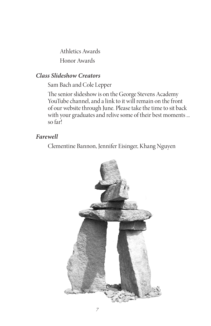Athletics Awards Honor Awards

# *Class Slideshow Creators*

Sam Bach and Cole Lepper

The senior slideshow is on the George Stevens Academy YouTube channel, and a link to it will remain on the front of our website through June. Please take the time to sit back with your graduates and relive some of their best moments ... so far!

## *Farewell*

Clementine Bannon, Jennifer Eisinger, Khang Nguyen

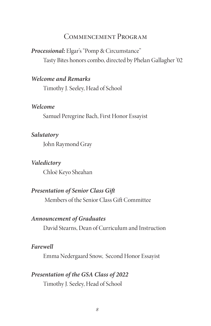# Commencement Program

*Processional:* Elgar's "Pomp & Circumstance" Tasty Bites honors combo, directed by Phelan Gallagher '02

#### *Welcome and Remarks*

Timothy J. Seeley, Head of School

#### *Welcome*

Samuel Peregrine Bach, First Honor Essayist

#### *Salutatory*

John Raymond Gray

#### *Valedictory*

Chloë Keyo Sheahan

#### *Presentation of Senior Class Gift*

Members of the Senior Class Gift Committee

#### *Announcement of Graduates*

David Stearns, Dean of Curriculum and Instruction

#### *Farewell*

Emma Nedergaard Snow, Second Honor Essayist

#### *Presentation of the GSA Class of 2022*

Timothy J. Seeley, Head of School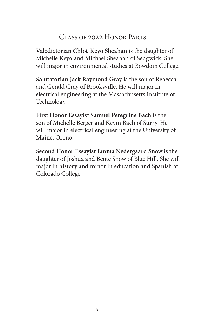# Class of 2022 Honor Parts

**Valedictorian Chloë Keyo Sheahan** is the daughter of Michelle Keyo and Michael Sheahan of Sedgwick. She will major in environmental studies at Bowdoin College.

**Salutatorian Jack Raymond Gray** is the son of Rebecca and Gerald Gray of Brooksville. He will major in electrical engineering at the Massachusetts Institute of Technology.

**First Honor Essayist Samuel Peregrine Bach** is the son of Michelle Berger and Kevin Bach of Surry. He will major in electrical engineering at the University of Maine, Orono.

**Second Honor Essayist Emma Nedergaard Snow** is the daughter of Joshua and Bente Snow of Blue Hill. She will major in history and minor in education and Spanish at Colorado College.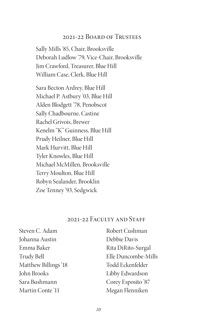# 2021-22 Board of Trustees

Sally Mills '85, Chair, Brooksville Deborah Ludlow '79, Vice-Chair, Brooksville Jim Crawford, Treasurer, Blue Hill William Case, Clerk, Blue Hill

Sara Becton Ardrey, Blue Hill Michael P. Astbury '03, Blue Hill Alden Blodgett '78, Penobscot Sally Chadbourne, Castine Rachel Grivois, Brewer Kenelm "K" Guinness, Blue Hill Prudy Heilner, Blue Hill Mark Hurvitt, Blue Hill Tyler Knowles, Blue Hill Michael McMillen, Brooksville Terry Moulton, Blue Hill Robyn Sealander, Brooklin Zoe Tenney '93, Sedgwick

# 2021-22 FACULTY AND STAFF

| Steven C. Adam      | Robert Cushman      |
|---------------------|---------------------|
| Johanna Austin      | Debbie Davis        |
| Emma Baker          | Rita DiRito-Surgal  |
| Trudy Bell          | Elle Duncombe-Mills |
| Matthew Billings'18 | Todd Eckenfelder    |
| John Brooks         | Libby Edwardson     |
| Sara Bushmann       | Corey Esposito '87  |
| Martin Conte'11     | Megan Flenniken     |
|                     |                     |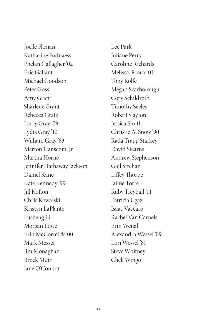Joelle Florian Katharine Fodnaess Phelan Gallagher '02 Eric Gallant Michael Goodson Peter Goss Amy Grant Sharlene Grant Rebecca Gratz Larry Gray '79 Lydia Gray '10 William Gray '83 Merton Hanscom, Jr. Martha Horne Jennifer Hathaway Jackson Daniel Kane Kate Kennedy '99 Jill Kofton Chris Kowalski Kristyn LaPlante Lusheng Li Morgan Lowe Erin McCormick '00 Mark Messer Jim Monaghan Brock Muir Jane O'Connor

Lee Park Juliane Perry Caroline Richards Melissa Rioux '01 Tony Rolfe Megan Scarborough Cory Schildroth Timothy Seeley Robert Slayton Jessica Smith Christie A. Snow '90 Rada Trapp Starkey David Stearns Andrew Stephenson Gail Strehan Liffey Thorpe Jaime Torre Ruby Treyball '11 Patricia Ugaz Isaac Vaccaro Rachel Van Carpels Erin Wenal Alexandra Wessel '09 Lori Wessel '81 Steve Whitney Chek Wingo